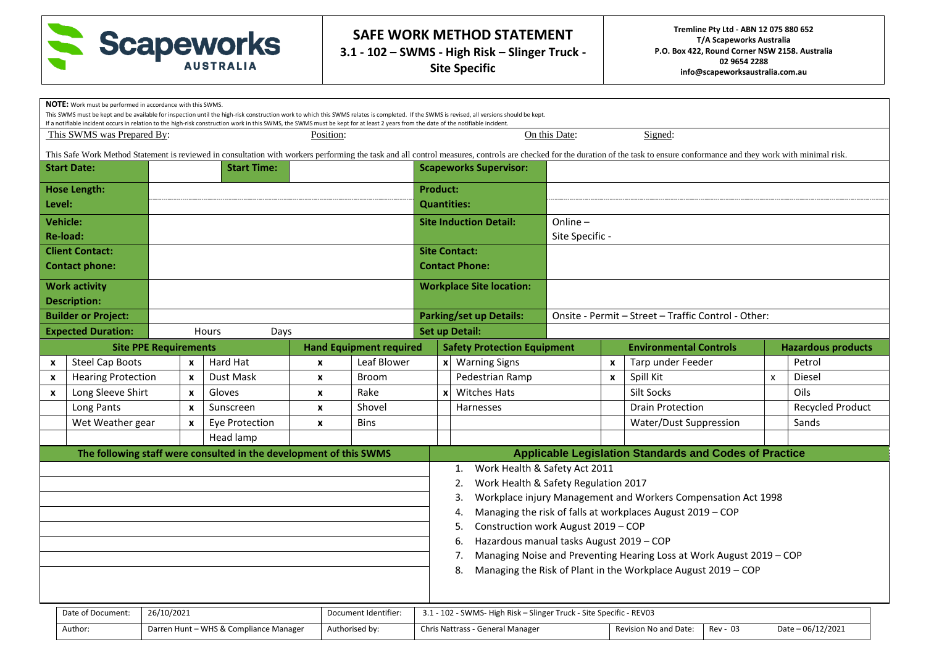

|                                                                     | <b>NOTE:</b> Work must be performed in accordance with this SWMS. |  |              | If a notifiable incident occurs in relation to the high-risk construction work in this SWMS, the SWMS must be kept for at least 2 years from the date of the notifiable incident. |                    |                                    |                                                                     |                           | This SWMS must be kept and be available for inspection until the high-risk construction work to which this SWMS relates is completed. If the SWMS is revised, all versions should be kept. |                                                     |                                                                      |                                                                                                                                                                                                                                |                           |                         |
|---------------------------------------------------------------------|-------------------------------------------------------------------|--|--------------|-----------------------------------------------------------------------------------------------------------------------------------------------------------------------------------|--------------------|------------------------------------|---------------------------------------------------------------------|---------------------------|--------------------------------------------------------------------------------------------------------------------------------------------------------------------------------------------|-----------------------------------------------------|----------------------------------------------------------------------|--------------------------------------------------------------------------------------------------------------------------------------------------------------------------------------------------------------------------------|---------------------------|-------------------------|
|                                                                     | This SWMS was Prepared By:                                        |  |              |                                                                                                                                                                                   | Position:          |                                    |                                                                     |                           |                                                                                                                                                                                            | On this Date:                                       |                                                                      | Signed:                                                                                                                                                                                                                        |                           |                         |
|                                                                     |                                                                   |  |              |                                                                                                                                                                                   |                    |                                    |                                                                     |                           |                                                                                                                                                                                            |                                                     |                                                                      | This Safe Work Method Statement is reviewed in consultation with workers performing the task and all control measures, controls are checked for the duration of the task to ensure conformance and they work with minimal risk |                           |                         |
|                                                                     | <b>Start Date:</b>                                                |  |              | <b>Start Time:</b>                                                                                                                                                                |                    |                                    |                                                                     |                           | <b>Scapeworks Supervisor:</b>                                                                                                                                                              |                                                     |                                                                      |                                                                                                                                                                                                                                |                           |                         |
|                                                                     | <b>Hose Length:</b>                                               |  |              |                                                                                                                                                                                   |                    |                                    | <b>Product:</b>                                                     |                           |                                                                                                                                                                                            |                                                     |                                                                      |                                                                                                                                                                                                                                |                           |                         |
|                                                                     | Level:                                                            |  |              |                                                                                                                                                                                   |                    |                                    | <b>Quantities:</b>                                                  |                           |                                                                                                                                                                                            |                                                     |                                                                      |                                                                                                                                                                                                                                |                           |                         |
|                                                                     | <b>Vehicle:</b>                                                   |  |              |                                                                                                                                                                                   |                    |                                    | <b>Site Induction Detail:</b>                                       |                           |                                                                                                                                                                                            | Online-                                             |                                                                      |                                                                                                                                                                                                                                |                           |                         |
|                                                                     | Re-load:                                                          |  |              |                                                                                                                                                                                   |                    |                                    |                                                                     |                           |                                                                                                                                                                                            | Site Specific -                                     |                                                                      |                                                                                                                                                                                                                                |                           |                         |
|                                                                     | <b>Client Contact:</b>                                            |  |              |                                                                                                                                                                                   |                    |                                    |                                                                     |                           | <b>Site Contact:</b><br><b>Contact Phone:</b>                                                                                                                                              |                                                     |                                                                      |                                                                                                                                                                                                                                |                           |                         |
| <b>Contact phone:</b>                                               |                                                                   |  |              |                                                                                                                                                                                   |                    |                                    |                                                                     |                           |                                                                                                                                                                                            |                                                     |                                                                      |                                                                                                                                                                                                                                |                           |                         |
|                                                                     | <b>Work activity</b>                                              |  |              |                                                                                                                                                                                   |                    |                                    |                                                                     |                           | <b>Workplace Site location:</b>                                                                                                                                                            |                                                     |                                                                      |                                                                                                                                                                                                                                |                           |                         |
| <b>Description:</b>                                                 |                                                                   |  |              |                                                                                                                                                                                   |                    |                                    |                                                                     |                           |                                                                                                                                                                                            | Onsite - Permit - Street - Traffic Control - Other: |                                                                      |                                                                                                                                                                                                                                |                           |                         |
|                                                                     | <b>Builder or Project:</b><br><b>Expected Duration:</b>           |  |              | Hours<br>Days                                                                                                                                                                     |                    |                                    | <b>Parking/set up Details:</b><br><b>Set up Detail:</b>             |                           |                                                                                                                                                                                            |                                                     |                                                                      |                                                                                                                                                                                                                                |                           |                         |
|                                                                     | <b>Hand Equipment required</b><br><b>Site PPE Requirements</b>    |  |              |                                                                                                                                                                                   |                    | <b>Safety Protection Equipment</b> |                                                                     |                           | <b>Environmental Controls</b><br><b>Hazardous products</b>                                                                                                                                 |                                                     |                                                                      |                                                                                                                                                                                                                                |                           |                         |
| $\mathbf{x}$                                                        | <b>Steel Cap Boots</b>                                            |  | $\mathbf{x}$ | Hard Hat                                                                                                                                                                          | $\boldsymbol{x}$   | Leaf Blower                        |                                                                     | $\boldsymbol{x}$          | <b>Warning Signs</b>                                                                                                                                                                       |                                                     | $\pmb{\chi}$                                                         | Tarp under Feeder                                                                                                                                                                                                              |                           | Petrol                  |
| X                                                                   | <b>Hearing Protection</b>                                         |  | X            | Dust Mask                                                                                                                                                                         | $\pmb{\mathsf{x}}$ | <b>Broom</b>                       |                                                                     |                           | Pedestrian Ramp                                                                                                                                                                            |                                                     | $\pmb{\times}$                                                       | Spill Kit                                                                                                                                                                                                                      | $\boldsymbol{\mathsf{x}}$ | Diesel                  |
| $\boldsymbol{x}$                                                    | Long Sleeve Shirt                                                 |  | X            | Gloves                                                                                                                                                                            | X                  | Rake                               |                                                                     | $\boldsymbol{\mathsf{x}}$ | <b>Witches Hats</b>                                                                                                                                                                        |                                                     |                                                                      | Silt Socks                                                                                                                                                                                                                     |                           | Oils                    |
|                                                                     | Long Pants                                                        |  | $\mathbf{x}$ | Sunscreen                                                                                                                                                                         | $\boldsymbol{x}$   | Shovel                             | <b>Harnesses</b>                                                    |                           |                                                                                                                                                                                            |                                                     |                                                                      | <b>Drain Protection</b>                                                                                                                                                                                                        |                           | <b>Recycled Product</b> |
|                                                                     | Wet Weather gear                                                  |  | X            | Eye Protection                                                                                                                                                                    | X                  | <b>Bins</b>                        |                                                                     |                           |                                                                                                                                                                                            |                                                     |                                                                      | Water/Dust Suppression                                                                                                                                                                                                         |                           | Sands                   |
|                                                                     |                                                                   |  |              | Head lamp                                                                                                                                                                         |                    |                                    |                                                                     |                           |                                                                                                                                                                                            |                                                     |                                                                      |                                                                                                                                                                                                                                |                           |                         |
|                                                                     |                                                                   |  |              | The following staff were consulted in the development of this SWMS                                                                                                                |                    |                                    |                                                                     |                           |                                                                                                                                                                                            |                                                     |                                                                      | <b>Applicable Legislation Standards and Codes of Practice</b>                                                                                                                                                                  |                           |                         |
|                                                                     |                                                                   |  |              |                                                                                                                                                                                   |                    |                                    |                                                                     |                           | Work Health & Safety Act 2011<br>1.<br>Work Health & Safety Regulation 2017<br>2.                                                                                                          |                                                     |                                                                      |                                                                                                                                                                                                                                |                           |                         |
|                                                                     |                                                                   |  |              |                                                                                                                                                                                   |                    |                                    |                                                                     |                           | 3.                                                                                                                                                                                         |                                                     |                                                                      | Workplace injury Management and Workers Compensation Act 1998                                                                                                                                                                  |                           |                         |
|                                                                     |                                                                   |  |              |                                                                                                                                                                                   |                    |                                    |                                                                     |                           | 4.                                                                                                                                                                                         |                                                     |                                                                      | Managing the risk of falls at workplaces August 2019 - COP                                                                                                                                                                     |                           |                         |
|                                                                     |                                                                   |  |              |                                                                                                                                                                                   |                    |                                    |                                                                     |                           | Construction work August 2019 - COP<br>5.                                                                                                                                                  |                                                     |                                                                      |                                                                                                                                                                                                                                |                           |                         |
|                                                                     |                                                                   |  |              |                                                                                                                                                                                   |                    |                                    |                                                                     |                           | Hazardous manual tasks August 2019 - COP<br>6.                                                                                                                                             |                                                     |                                                                      |                                                                                                                                                                                                                                |                           |                         |
|                                                                     |                                                                   |  |              |                                                                                                                                                                                   |                    |                                    |                                                                     | 7.                        |                                                                                                                                                                                            |                                                     | Managing Noise and Preventing Hearing Loss at Work August 2019 - COP |                                                                                                                                                                                                                                |                           |                         |
|                                                                     |                                                                   |  |              |                                                                                                                                                                                   |                    |                                    |                                                                     | 8.                        |                                                                                                                                                                                            |                                                     | Managing the Risk of Plant in the Workplace August 2019 - COP        |                                                                                                                                                                                                                                |                           |                         |
|                                                                     |                                                                   |  |              |                                                                                                                                                                                   |                    |                                    |                                                                     |                           |                                                                                                                                                                                            |                                                     |                                                                      |                                                                                                                                                                                                                                |                           |                         |
| Date of Document:<br>26/10/2021<br>Document Identifier:             |                                                                   |  |              |                                                                                                                                                                                   |                    |                                    | 3.1 - 102 - SWMS- High Risk - Slinger Truck - Site Specific - REV03 |                           |                                                                                                                                                                                            |                                                     |                                                                      |                                                                                                                                                                                                                                |                           |                         |
| Darren Hunt - WHS & Compliance Manager<br>Author:<br>Authorised by: |                                                                   |  |              | Rev - 03<br>Date - 06/12/2021<br>Chris Nattrass - General Manager<br>Revision No and Date:                                                                                        |                    |                                    |                                                                     |                           |                                                                                                                                                                                            |                                                     |                                                                      |                                                                                                                                                                                                                                |                           |                         |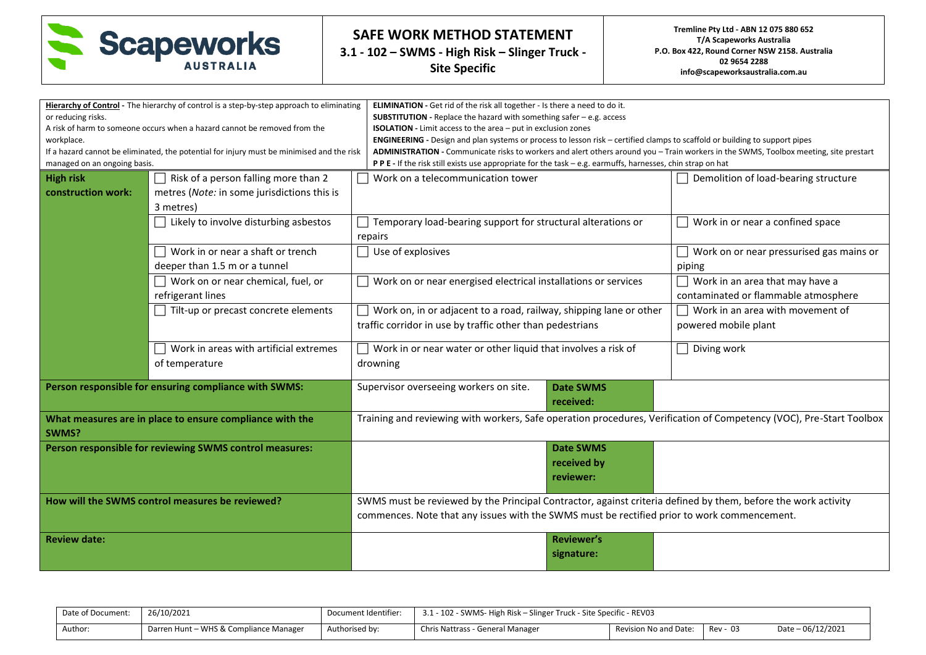

| or reducing risks.<br>workplace.<br>managed on an ongoing basis. | Hierarchy of Control - The hierarchy of control is a step-by-step approach to eliminating<br>A risk of harm to someone occurs when a hazard cannot be removed from the<br>If a hazard cannot be eliminated, the potential for injury must be minimised and the risk | ELIMINATION - Get rid of the risk all together - Is there a need to do it.<br>SUBSTITUTION - Replace the hazard with something safer - e.g. access<br><b>ISOLATION</b> - Limit access to the area - put in exclusion zones<br>ENGINEERING - Design and plan systems or process to lesson risk - certified clamps to scaffold or building to support pipes<br>ADMINISTRATION - Communicate risks to workers and alert others around you - Train workers in the SWMS, Toolbox meeting, site prestart<br>P P E - If the risk still exists use appropriate for the task - e.g. earmuffs, harnesses, chin strap on hat |                                                                                                               |  |  |  |  |  |  |
|------------------------------------------------------------------|---------------------------------------------------------------------------------------------------------------------------------------------------------------------------------------------------------------------------------------------------------------------|-------------------------------------------------------------------------------------------------------------------------------------------------------------------------------------------------------------------------------------------------------------------------------------------------------------------------------------------------------------------------------------------------------------------------------------------------------------------------------------------------------------------------------------------------------------------------------------------------------------------|---------------------------------------------------------------------------------------------------------------|--|--|--|--|--|--|
| <b>High risk</b>                                                 | Risk of a person falling more than 2                                                                                                                                                                                                                                | Work on a telecommunication tower                                                                                                                                                                                                                                                                                                                                                                                                                                                                                                                                                                                 | Demolition of load-bearing structure                                                                          |  |  |  |  |  |  |
| construction work:                                               | metres (Note: in some jurisdictions this is                                                                                                                                                                                                                         |                                                                                                                                                                                                                                                                                                                                                                                                                                                                                                                                                                                                                   |                                                                                                               |  |  |  |  |  |  |
|                                                                  | 3 metres)                                                                                                                                                                                                                                                           |                                                                                                                                                                                                                                                                                                                                                                                                                                                                                                                                                                                                                   |                                                                                                               |  |  |  |  |  |  |
|                                                                  | Likely to involve disturbing asbestos                                                                                                                                                                                                                               | Temporary load-bearing support for structural alterations or                                                                                                                                                                                                                                                                                                                                                                                                                                                                                                                                                      | Work in or near a confined space                                                                              |  |  |  |  |  |  |
|                                                                  |                                                                                                                                                                                                                                                                     | repairs                                                                                                                                                                                                                                                                                                                                                                                                                                                                                                                                                                                                           |                                                                                                               |  |  |  |  |  |  |
|                                                                  | Work in or near a shaft or trench                                                                                                                                                                                                                                   | $\Box$ Use of explosives                                                                                                                                                                                                                                                                                                                                                                                                                                                                                                                                                                                          | Work on or near pressurised gas mains or                                                                      |  |  |  |  |  |  |
|                                                                  | deeper than 1.5 m or a tunnel                                                                                                                                                                                                                                       |                                                                                                                                                                                                                                                                                                                                                                                                                                                                                                                                                                                                                   | piping                                                                                                        |  |  |  |  |  |  |
|                                                                  | $\Box$ Work on or near chemical, fuel, or                                                                                                                                                                                                                           | $\Box$ Work on or near energised electrical installations or services                                                                                                                                                                                                                                                                                                                                                                                                                                                                                                                                             | Work in an area that may have a                                                                               |  |  |  |  |  |  |
|                                                                  | refrigerant lines                                                                                                                                                                                                                                                   |                                                                                                                                                                                                                                                                                                                                                                                                                                                                                                                                                                                                                   | contaminated or flammable atmosphere                                                                          |  |  |  |  |  |  |
|                                                                  | Tilt-up or precast concrete elements                                                                                                                                                                                                                                | $\Box$ Work on, in or adjacent to a road, railway, shipping lane or other                                                                                                                                                                                                                                                                                                                                                                                                                                                                                                                                         | Work in an area with movement of                                                                              |  |  |  |  |  |  |
|                                                                  |                                                                                                                                                                                                                                                                     | traffic corridor in use by traffic other than pedestrians                                                                                                                                                                                                                                                                                                                                                                                                                                                                                                                                                         | powered mobile plant                                                                                          |  |  |  |  |  |  |
|                                                                  | Work in areas with artificial extremes                                                                                                                                                                                                                              | Work in or near water or other liquid that involves a risk of                                                                                                                                                                                                                                                                                                                                                                                                                                                                                                                                                     | Diving work                                                                                                   |  |  |  |  |  |  |
|                                                                  | of temperature                                                                                                                                                                                                                                                      | drowning                                                                                                                                                                                                                                                                                                                                                                                                                                                                                                                                                                                                          |                                                                                                               |  |  |  |  |  |  |
|                                                                  | Person responsible for ensuring compliance with SWMS:                                                                                                                                                                                                               | Supervisor overseeing workers on site.<br><b>Date SWMS</b><br>received:                                                                                                                                                                                                                                                                                                                                                                                                                                                                                                                                           |                                                                                                               |  |  |  |  |  |  |
| SWMS?                                                            | What measures are in place to ensure compliance with the                                                                                                                                                                                                            | Training and reviewing with workers, Safe operation procedures, Verification of Competency (VOC), Pre-Start Toolbox                                                                                                                                                                                                                                                                                                                                                                                                                                                                                               |                                                                                                               |  |  |  |  |  |  |
|                                                                  | Person responsible for reviewing SWMS control measures:                                                                                                                                                                                                             | <b>Date SWMS</b>                                                                                                                                                                                                                                                                                                                                                                                                                                                                                                                                                                                                  |                                                                                                               |  |  |  |  |  |  |
|                                                                  |                                                                                                                                                                                                                                                                     | received by                                                                                                                                                                                                                                                                                                                                                                                                                                                                                                                                                                                                       |                                                                                                               |  |  |  |  |  |  |
|                                                                  |                                                                                                                                                                                                                                                                     | reviewer:                                                                                                                                                                                                                                                                                                                                                                                                                                                                                                                                                                                                         |                                                                                                               |  |  |  |  |  |  |
|                                                                  | How will the SWMS control measures be reviewed?                                                                                                                                                                                                                     |                                                                                                                                                                                                                                                                                                                                                                                                                                                                                                                                                                                                                   | SWMS must be reviewed by the Principal Contractor, against criteria defined by them, before the work activity |  |  |  |  |  |  |
|                                                                  |                                                                                                                                                                                                                                                                     | commences. Note that any issues with the SWMS must be rectified prior to work commencement.                                                                                                                                                                                                                                                                                                                                                                                                                                                                                                                       |                                                                                                               |  |  |  |  |  |  |
| <b>Review date:</b>                                              |                                                                                                                                                                                                                                                                     | <b>Reviewer's</b>                                                                                                                                                                                                                                                                                                                                                                                                                                                                                                                                                                                                 |                                                                                                               |  |  |  |  |  |  |
|                                                                  |                                                                                                                                                                                                                                                                     | signature:                                                                                                                                                                                                                                                                                                                                                                                                                                                                                                                                                                                                        |                                                                                                               |  |  |  |  |  |  |
|                                                                  |                                                                                                                                                                                                                                                                     |                                                                                                                                                                                                                                                                                                                                                                                                                                                                                                                                                                                                                   |                                                                                                               |  |  |  |  |  |  |

| Date of Document: | 26/10/2021                             | Document Identifier: | 3.1 - 102 - SWMS- High Risk – Slinger Truck - Site Specific - REV03 |                         |          |                   |  |  |  |
|-------------------|----------------------------------------|----------------------|---------------------------------------------------------------------|-------------------------|----------|-------------------|--|--|--|
| Author:           | Darren Hunt - WHS & Compliance Manager | Authorised by:       | Chris Nattrass - General Manager                                    | Revision No and Date: I | Rev - 03 | Date - 06/12/2021 |  |  |  |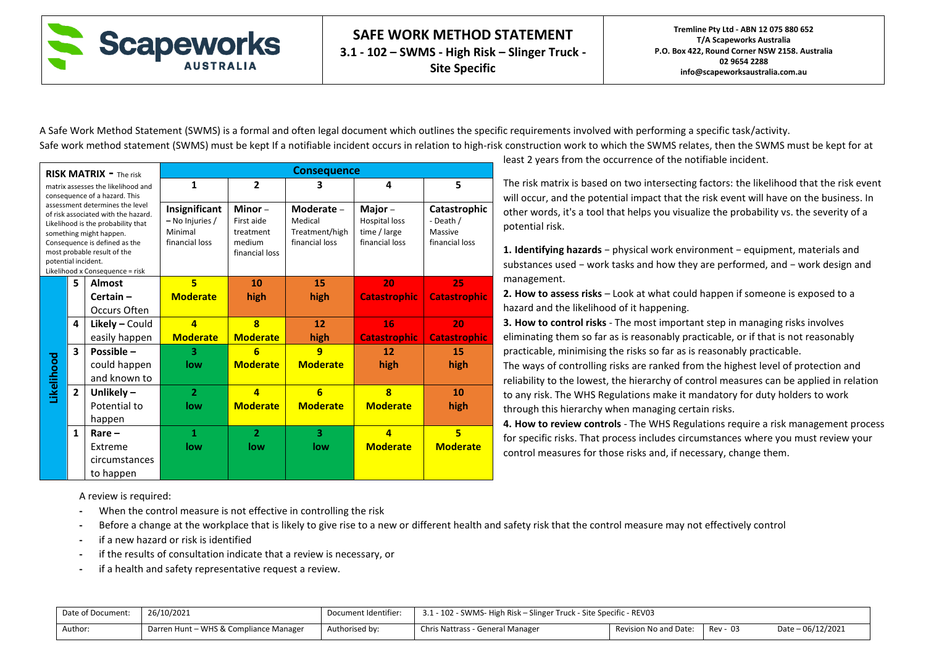

A Safe Work Method Statement (SWMS) is a formal and often legal document which outlines the specific requirements involved with performing a specific task/activity. Safe work method statement (SWMS) must be kept If a notifiable incident occurs in relation to high-risk construction work to which the SWMS relates, then the SWMS must be kept for at

|                     |                                        | <b>RISK MATRIX - The risk</b>                                                                                                                                                                                                              |                                                               |                                                               | <b>Consequence</b>                                        |                                                                  |                                                        |
|---------------------|----------------------------------------|--------------------------------------------------------------------------------------------------------------------------------------------------------------------------------------------------------------------------------------------|---------------------------------------------------------------|---------------------------------------------------------------|-----------------------------------------------------------|------------------------------------------------------------------|--------------------------------------------------------|
|                     |                                        | matrix assesses the likelihood and<br>consequence of a hazard. This                                                                                                                                                                        | 1                                                             | $\overline{2}$                                                | 3                                                         | 4                                                                | 5                                                      |
| potential incident. |                                        | assessment determines the level<br>of risk associated with the hazard.<br>Likelihood is the probability that<br>something might happen.<br>Consequence is defined as the<br>most probable result of the<br>Likelihood x Consequence = risk | Insignificant<br>- No Injuries /<br>Minimal<br>financial loss | Minor-<br>First aide<br>treatment<br>medium<br>financial loss | Moderate -<br>Medical<br>Treatment/high<br>financial loss | Major-<br><b>Hospital loss</b><br>time / large<br>financial loss | Catastrophic<br>- Death /<br>Massive<br>financial loss |
|                     | 5                                      | <b>Almost</b>                                                                                                                                                                                                                              | 5                                                             | 10                                                            | 15                                                        | 20                                                               | 25                                                     |
|                     | <b>Moderate</b><br>$Certain -$<br>high |                                                                                                                                                                                                                                            |                                                               | high                                                          | <b>Catastrophic</b>                                       | <b>Catastrophic</b>                                              |                                                        |
|                     |                                        | Occurs Often                                                                                                                                                                                                                               |                                                               |                                                               |                                                           |                                                                  |                                                        |
|                     | 4                                      | $Likely - Could$                                                                                                                                                                                                                           | 4                                                             | 8                                                             | 12                                                        | 16                                                               | 20                                                     |
|                     |                                        | easily happen                                                                                                                                                                                                                              | <b>Moderate</b>                                               | <b>Moderate</b>                                               | high                                                      | <b>Catastrophic</b>                                              | <b>Catastrophic</b>                                    |
|                     | $\overline{\mathbf{3}}$                | Possible -                                                                                                                                                                                                                                 | 3                                                             | 6                                                             | q                                                         | 12                                                               | 15                                                     |
|                     |                                        | could happen                                                                                                                                                                                                                               | low                                                           | <b>Moderate</b>                                               | <b>Moderate</b>                                           | high                                                             | high                                                   |
| Likelihood          |                                        | and known to                                                                                                                                                                                                                               |                                                               |                                                               |                                                           |                                                                  |                                                        |
|                     | $\overline{2}$                         | Unlikely $-$                                                                                                                                                                                                                               | $\overline{2}$                                                | $\overline{a}$                                                | $6\overline{6}$                                           | $\overline{\mathbf{8}}$                                          | 10                                                     |
|                     |                                        | Potential to                                                                                                                                                                                                                               | low                                                           | <b>Moderate</b>                                               | <b>Moderate</b>                                           | <b>Moderate</b>                                                  | high                                                   |
|                     |                                        | happen                                                                                                                                                                                                                                     |                                                               |                                                               |                                                           |                                                                  |                                                        |
|                     | $\mathbf{1}$                           | $Rare -$                                                                                                                                                                                                                                   | 1                                                             | $\overline{2}$                                                | 3                                                         | $\overline{a}$                                                   | 5                                                      |
|                     |                                        | Extreme                                                                                                                                                                                                                                    | low                                                           | low                                                           | low                                                       | <b>Moderate</b>                                                  | <b>Moderate</b>                                        |
|                     |                                        | circumstances                                                                                                                                                                                                                              |                                                               |                                                               |                                                           |                                                                  |                                                        |
|                     |                                        | to happen                                                                                                                                                                                                                                  |                                                               |                                                               |                                                           |                                                                  |                                                        |

least 2 years from the occurrence of the notifiable incident.

The risk matrix is based on two intersecting factors: the likelihood that the risk event will occur, and the potential impact that the risk event will have on the business. In other words, it's a tool that helps you visualize the probability vs. the severity of a potential risk.

**1. Identifying hazards** − physical work environment − equipment, materials and substances used − work tasks and how they are performed, and − work design and management.

**2. How to assess risks** – Look at what could happen if someone is exposed to a hazard and the likelihood of it happening.

**3. How to control risks** - The most important step in managing risks involves eliminating them so far as is reasonably practicable, or if that is not reasonably practicable, minimising the risks so far as is reasonably practicable.

The ways of controlling risks are ranked from the highest level of protection and reliability to the lowest, the hierarchy of control measures can be applied in relation to any risk. The WHS Regulations make it mandatory for duty holders to work through this hierarchy when managing certain risks.

**4. How to review controls** - The WHS Regulations require a risk management process for specific risks. That process includes circumstances where you must review your control measures for those risks and, if necessary, change them.

A review is required:

- **-** When the control measure is not effective in controlling the risk
- **-** Before a change at the workplace that is likely to give rise to a new or different health and safety risk that the control measure may not effectively control
- **-** if a new hazard or risk is identified
- **-** if the results of consultation indicate that a review is necessary, or
- **-** if a health and safety representative request a review.

| Date of Document: | 26/10/2021                             | Document Identifier: | 3.1 - 102 - SWMS- High Risk – Slinger Truck - Site Specific - REV03 |                                   |  |  |  |  |  |
|-------------------|----------------------------------------|----------------------|---------------------------------------------------------------------|-----------------------------------|--|--|--|--|--|
| Author:           | Darren Hunt – WHS & Compliance Manager | Authorised by:       | Chris Nattrass - General Manager                                    | Rev - 03<br>Revision No and Date: |  |  |  |  |  |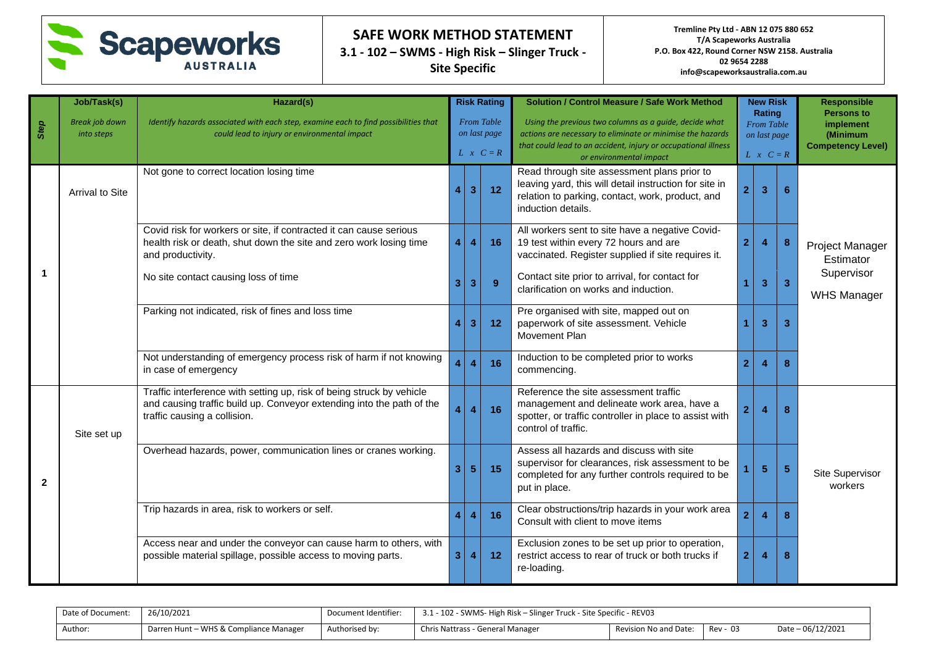

|              | Job/Task(s)                         | Hazard(s)                                                                                                                                                                      |                  |                                                                                                                                                                                                                                                                            | <b>Risk Rating</b> | <b>Solution / Control Measure / Safe Work Method</b>                                                                                                                            |                                                          | <b>New Risk</b> |                | <b>Responsible</b>                                                     |  |
|--------------|-------------------------------------|--------------------------------------------------------------------------------------------------------------------------------------------------------------------------------|------------------|----------------------------------------------------------------------------------------------------------------------------------------------------------------------------------------------------------------------------------------------------------------------------|--------------------|---------------------------------------------------------------------------------------------------------------------------------------------------------------------------------|----------------------------------------------------------|-----------------|----------------|------------------------------------------------------------------------|--|
| Step         | <b>Break job down</b><br>into steps | Identify hazards associated with each step, examine each to find possibilities that<br>could lead to injury or environmental impact                                            |                  | <b>From Table</b><br>Using the previous two columns as a guide, decide what<br>on last page<br>actions are necessary to eliminate or minimise the hazards<br>that could lead to an accident, injury or occupational illness<br>$L \times C = R$<br>or environmental impact |                    |                                                                                                                                                                                 | Rating<br>From Table<br>on last page<br>$L \times C = R$ |                 |                | <b>Persons to</b><br>implement<br>(Minimum<br><b>Competency Level)</b> |  |
|              | <b>Arrival to Site</b>              | Not gone to correct location losing time                                                                                                                                       |                  | 3 <sup>1</sup>                                                                                                                                                                                                                                                             | 12 <sub>2</sub>    | Read through site assessment plans prior to<br>leaving yard, this will detail instruction for site in<br>relation to parking, contact, work, product, and<br>induction details. | $\overline{2}$                                           | 3               | 6              |                                                                        |  |
|              |                                     | Covid risk for workers or site, if contracted it can cause serious<br>health risk or death, shut down the site and zero work losing time<br>and productivity.                  | $\overline{4}$   | $\overline{4}$                                                                                                                                                                                                                                                             | 16                 | All workers sent to site have a negative Covid-<br>19 test within every 72 hours and are<br>vaccinated. Register supplied if site requires it.                                  | $\overline{2}$                                           | 4               | 8              | Project Manager<br>Estimator                                           |  |
|              |                                     | No site contact causing loss of time                                                                                                                                           | 3 <sup>1</sup>   | $\overline{3}$                                                                                                                                                                                                                                                             | 9 <sup>°</sup>     | Contact site prior to arrival, for contact for<br>clarification on works and induction.                                                                                         |                                                          | 3               | 3              | Supervisor<br><b>WHS Manager</b>                                       |  |
|              |                                     | Parking not indicated, risk of fines and loss time                                                                                                                             | $\blacktriangle$ | 3 <sup>2</sup>                                                                                                                                                                                                                                                             | 12                 | Pre organised with site, mapped out on<br>paperwork of site assessment. Vehicle<br>Movement Plan                                                                                |                                                          | 3               | $\overline{3}$ |                                                                        |  |
|              |                                     | Not understanding of emergency process risk of harm if not knowing<br>in case of emergency                                                                                     | $\overline{4}$   | $\overline{\mathbf{4}}$                                                                                                                                                                                                                                                    | 16                 | Induction to be completed prior to works<br>commencing.                                                                                                                         | $\overline{2}$                                           | 7               | 8              |                                                                        |  |
|              | Site set up                         | Traffic interference with setting up, risk of being struck by vehicle<br>and causing traffic build up. Conveyor extending into the path of the<br>traffic causing a collision. | 4 <sup>1</sup>   | $\overline{\mathbf{4}}$                                                                                                                                                                                                                                                    | 16                 | Reference the site assessment traffic<br>management and delineate work area, have a<br>spotter, or traffic controller in place to assist with<br>control of traffic.            | $\overline{2}$                                           | 4               | 8              |                                                                        |  |
| $\mathbf{2}$ |                                     | Overhead hazards, power, communication lines or cranes working.                                                                                                                | 3 <sup>1</sup>   | 5 <sup>5</sup>                                                                                                                                                                                                                                                             | 15                 | Assess all hazards and discuss with site<br>supervisor for clearances, risk assessment to be<br>completed for any further controls required to be<br>put in place.              |                                                          | $\sqrt{5}$      | 5              | Site Supervisor<br>workers                                             |  |
|              |                                     | Trip hazards in area, risk to workers or self.                                                                                                                                 | $\overline{4}$   | $\overline{4}$                                                                                                                                                                                                                                                             | 16                 | Clear obstructions/trip hazards in your work area<br>Consult with client to move items                                                                                          | $\overline{2}$                                           | 4               | 8              |                                                                        |  |
|              |                                     | Access near and under the conveyor can cause harm to others, with<br>possible material spillage, possible access to moving parts.                                              | 3 <sup>1</sup>   | $\overline{4}$                                                                                                                                                                                                                                                             | 12                 | Exclusion zones to be set up prior to operation,<br>restrict access to rear of truck or both trucks if<br>re-loading.                                                           | 2 <sup>1</sup>                                           |                 | 8              |                                                                        |  |

| Date of Document: | 26/10/2021                             | Document Identifier: | 3.1 - 102 - SWMS- High Risk – Slinger Truck - Site Specific - REV03 |                       |          |                   |  |  |  |
|-------------------|----------------------------------------|----------------------|---------------------------------------------------------------------|-----------------------|----------|-------------------|--|--|--|
| Author:           | Darren Hunt - WHS & Compliance Manager | Authorised by:       | Chris Nattrass - General Manager                                    | Revision No and Date: | Rev - 03 | Date - 06/12/2021 |  |  |  |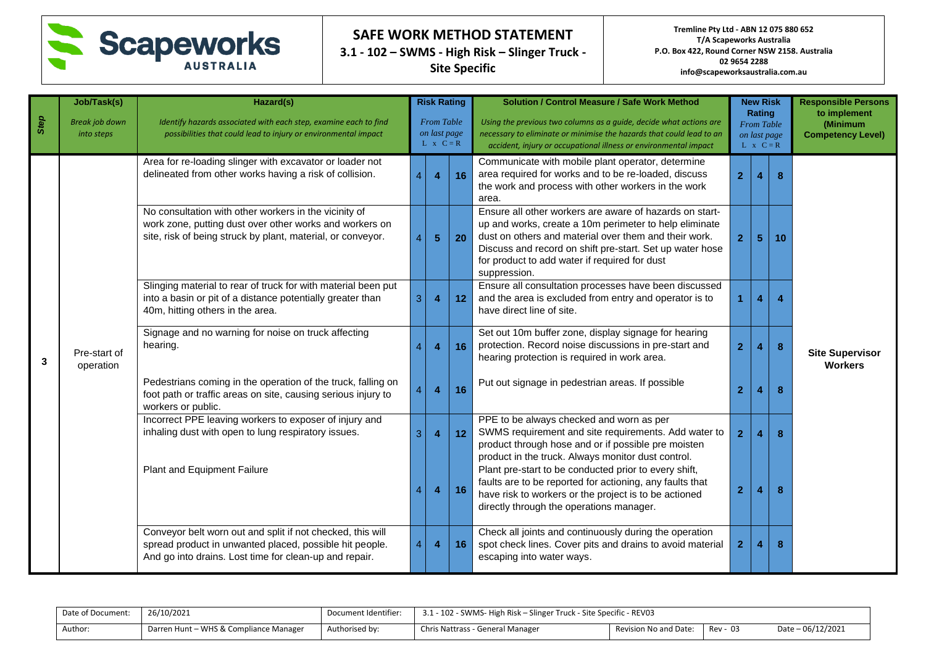

| Step | Job/Task(s)<br><b>Break job down</b><br>into steps | Hazard(s)<br>Identify hazards associated with each step, examine each to find<br>possibilities that could lead to injury or environmental impact                                |                | <b>Risk Rating</b><br><b>From Table</b><br>on last page |    | <b>Solution / Control Measure / Safe Work Method</b><br>Using the previous two columns as a quide, decide what actions are<br>necessary to eliminate or minimise the hazards that could lead to an                                                                                                      |                | <b>New Risk</b><br>Rating<br><b>From Table</b> |    | <b>Responsible Persons</b><br>to implement<br>(Minimum |
|------|----------------------------------------------------|---------------------------------------------------------------------------------------------------------------------------------------------------------------------------------|----------------|---------------------------------------------------------|----|---------------------------------------------------------------------------------------------------------------------------------------------------------------------------------------------------------------------------------------------------------------------------------------------------------|----------------|------------------------------------------------|----|--------------------------------------------------------|
|      |                                                    |                                                                                                                                                                                 |                | $L \times C = R$                                        |    | accident, injury or occupational illness or environmental impact                                                                                                                                                                                                                                        |                | on last page<br>$L \times C = R$               |    | <b>Competency Level)</b>                               |
|      |                                                    | Area for re-loading slinger with excavator or loader not<br>delineated from other works having a risk of collision.                                                             | $\overline{A}$ | $\overline{\mathbf{4}}$                                 | 16 | Communicate with mobile plant operator, determine<br>area required for works and to be re-loaded, discuss<br>the work and process with other workers in the work<br>area.                                                                                                                               | $\overline{2}$ | 4                                              | 8  |                                                        |
|      |                                                    | No consultation with other workers in the vicinity of<br>work zone, putting dust over other works and workers on<br>site, risk of being struck by plant, material, or conveyor. | $\overline{4}$ | 5 <sub>5</sub>                                          | 20 | Ensure all other workers are aware of hazards on start-<br>up and works, create a 10m perimeter to help eliminate<br>dust on others and material over them and their work.<br>Discuss and record on shift pre-start. Set up water hose<br>for product to add water if required for dust<br>suppression. | $\overline{2}$ | $\sqrt{5}$                                     | 10 |                                                        |
|      |                                                    | Slinging material to rear of truck for with material been put<br>into a basin or pit of a distance potentially greater than<br>3<br>40m, hitting others in the area.            |                | $\overline{4}$                                          | 12 | Ensure all consultation processes have been discussed<br>and the area is excluded from entry and operator is to<br>have direct line of site.                                                                                                                                                            |                | $\overline{\mathbf{4}}$                        |    |                                                        |
| 3    | Pre-start of<br>operation                          | Signage and no warning for noise on truck affecting<br>hearing.                                                                                                                 | $\overline{A}$ | $\overline{4}$                                          | 16 | Set out 10m buffer zone, display signage for hearing<br>protection. Record noise discussions in pre-start and<br>hearing protection is required in work area.                                                                                                                                           | $\overline{2}$ | $\overline{4}$                                 | 8  | <b>Site Supervisor</b><br><b>Workers</b>               |
|      |                                                    | Pedestrians coming in the operation of the truck, falling on<br>foot path or traffic areas on site, causing serious injury to<br>workers or public.                             | $\overline{A}$ | $\overline{\mathbf{4}}$                                 | 16 | Put out signage in pedestrian areas. If possible                                                                                                                                                                                                                                                        | $\overline{2}$ | 4                                              | 8  |                                                        |
|      |                                                    | Incorrect PPE leaving workers to exposer of injury and<br>inhaling dust with open to lung respiratory issues.                                                                   | 3              | $\overline{4}$                                          | 12 | PPE to be always checked and worn as per<br>SWMS requirement and site requirements. Add water to<br>product through hose and or if possible pre moisten<br>product in the truck. Always monitor dust control.                                                                                           | $\overline{2}$ | $\overline{4}$                                 | 8  |                                                        |
|      |                                                    | Plant and Equipment Failure                                                                                                                                                     | $\overline{4}$ | $\overline{\mathbf{4}}$                                 | 16 | Plant pre-start to be conducted prior to every shift,<br>faults are to be reported for actioning, any faults that<br>have risk to workers or the project is to be actioned<br>directly through the operations manager.                                                                                  | $\overline{2}$ | 4                                              | 8  |                                                        |
|      |                                                    | Conveyor belt worn out and split if not checked, this will<br>spread product in unwanted placed, possible hit people.<br>And go into drains. Lost time for clean-up and repair. | $\overline{4}$ | $\overline{4}$                                          | 16 | Check all joints and continuously during the operation<br>spot check lines. Cover pits and drains to avoid material<br>escaping into water ways.                                                                                                                                                        | $\overline{2}$ | $\overline{4}$                                 | 8  |                                                        |

| Date of Document: | 26/10/2021                             | Document Identifier: | 3.1 - 102 - SWMS- High Risk – Slinger Truck - Site Specific - REV03 |                       |          |                   |  |  |  |
|-------------------|----------------------------------------|----------------------|---------------------------------------------------------------------|-----------------------|----------|-------------------|--|--|--|
| Author:           | Darren Hunt - WHS & Compliance Manager | Authorised by:       | Chris Nattrass - General Manager                                    | Revision No and Date: | Rev - 03 | Date - 06/12/2021 |  |  |  |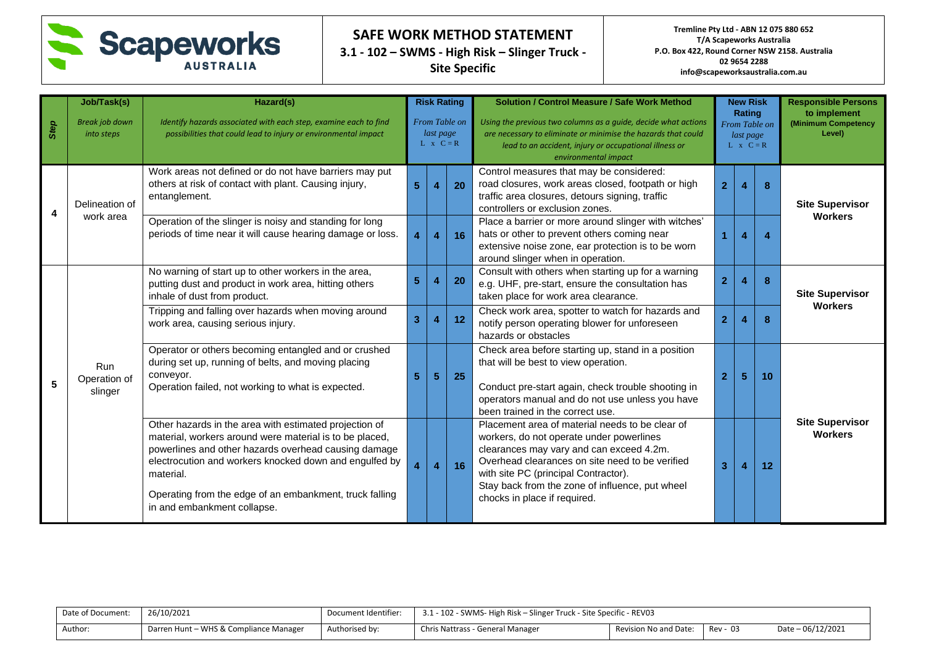

**Tremline Pty Ltd - ABN 12 075 880 652 T/A Scapeworks Australia P.O. Box 422, Round Corner NSW 2158. Australia 02 9654 2288 info@scapeworksaustralia.com.au**

| Step                    | Job/Task(s)<br><b>Break job down</b><br>into steps | Hazard(s)<br>Identify hazards associated with each step, examine each to find<br>possibilities that could lead to injury or environmental impact                                                                                                                                                                                           |                         | <b>Risk Rating</b><br>From Table on<br>last page<br>$L \times C = R$ |    | <b>Solution / Control Measure / Safe Work Method</b><br>Using the previous two columns as a guide, decide what actions<br>are necessary to eliminate or minimise the hazards that could<br>lead to an accident, injury or occupational illness or<br>environmental impact                                             |                | <b>New Risk</b><br>Rating<br>From Table on<br>last page<br>$L \times C = R$ |    | <b>Responsible Persons</b><br>to implement<br>(Minimum Competency<br>Level) |  |
|-------------------------|----------------------------------------------------|--------------------------------------------------------------------------------------------------------------------------------------------------------------------------------------------------------------------------------------------------------------------------------------------------------------------------------------------|-------------------------|----------------------------------------------------------------------|----|-----------------------------------------------------------------------------------------------------------------------------------------------------------------------------------------------------------------------------------------------------------------------------------------------------------------------|----------------|-----------------------------------------------------------------------------|----|-----------------------------------------------------------------------------|--|
| $\overline{\mathbf{A}}$ | Delineation of                                     | Work areas not defined or do not have barriers may put<br>others at risk of contact with plant. Causing injury,<br>entanglement.                                                                                                                                                                                                           | 5 <sup>5</sup>          | 4                                                                    | 20 | Control measures that may be considered:<br>road closures, work areas closed, footpath or high<br>traffic area closures, detours signing, traffic<br>controllers or exclusion zones.                                                                                                                                  | $\mathbf{2}$   |                                                                             |    | <b>Site Supervisor</b>                                                      |  |
|                         | work area                                          | Operation of the slinger is noisy and standing for long<br>periods of time near it will cause hearing damage or loss.                                                                                                                                                                                                                      | $\overline{4}$          | $\overline{\mathbf{4}}$                                              | 16 | Place a barrier or more around slinger with witches'<br>hats or other to prevent others coming near<br>extensive noise zone, ear protection is to be worn<br>around slinger when in operation.                                                                                                                        | 1.             | 4                                                                           | 4  | <b>Workers</b>                                                              |  |
|                         |                                                    | No warning of start up to other workers in the area,<br>putting dust and product in work area, hitting others<br>inhale of dust from product.                                                                                                                                                                                              | 5 <sup>5</sup>          | 4                                                                    | 20 | Consult with others when starting up for a warning<br>e.g. UHF, pre-start, ensure the consultation has<br>taken place for work area clearance.                                                                                                                                                                        | $\mathbf{2}$   | 4                                                                           | 8  | <b>Site Supervisor</b>                                                      |  |
|                         |                                                    | Tripping and falling over hazards when moving around<br>work area, causing serious injury.                                                                                                                                                                                                                                                 | $\overline{\mathbf{3}}$ | 4                                                                    | 12 | Check work area, spotter to watch for hazards and<br>notify person operating blower for unforeseen<br>hazards or obstacles                                                                                                                                                                                            | $\mathbf{2}$   |                                                                             | 8  | <b>Workers</b>                                                              |  |
| 5                       | <b>Run</b><br>Operation of<br>slinger              | Operator or others becoming entangled and or crushed<br>during set up, running of belts, and moving placing<br>conveyor.<br>Operation failed, not working to what is expected.                                                                                                                                                             | $5\phantom{.0}$         | 5 <sup>5</sup>                                                       | 25 | Check area before starting up, stand in a position<br>that will be best to view operation.<br>Conduct pre-start again, check trouble shooting in<br>operators manual and do not use unless you have<br>been trained in the correct use.                                                                               | $\overline{2}$ | 5                                                                           | 10 |                                                                             |  |
|                         |                                                    | Other hazards in the area with estimated projection of<br>material, workers around were material is to be placed,<br>powerlines and other hazards overhead causing damage<br>electrocution and workers knocked down and engulfed by<br>material.<br>Operating from the edge of an embankment, truck falling<br>in and embankment collapse. | $\overline{\mathbf{4}}$ | $\overline{4}$                                                       | 16 | Placement area of material needs to be clear of<br>workers, do not operate under powerlines<br>clearances may vary and can exceed 4.2m.<br>Overhead clearances on site need to be verified<br>with site PC (principal Contractor).<br>Stay back from the zone of influence, put wheel<br>chocks in place if required. | 3              | 4                                                                           | 12 | <b>Site Supervisor</b><br><b>Workers</b>                                    |  |

| Date of Document: | 26/10/2021                             | Document Identifier: | 3.1 - 102 - SWMS- High Risk – Slinger Truck - Site Specific - REV03 |                                |  |                    |  |  |  |
|-------------------|----------------------------------------|----------------------|---------------------------------------------------------------------|--------------------------------|--|--------------------|--|--|--|
| Author:           | Darren Hunt – WHS & Compliance Manager | Authorised by:       | Chris Nattrass - General Manager                                    | Revision No and Date: Rev - 03 |  | Date $-06/12/2021$ |  |  |  |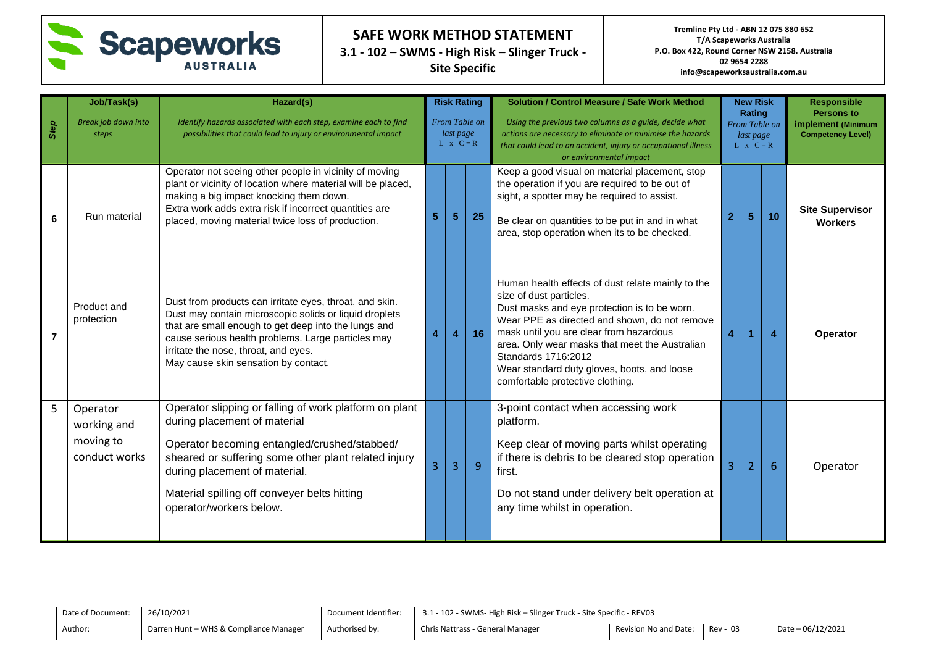

**Tremline Pty Ltd - ABN 12 075 880 652 T/A Scapeworks Australia P.O. Box 422, Round Corner NSW 2158. Australia 02 9654 2288 info@scapeworksaustralia.com.au**

| Step | Job/Task(s)<br>Break job down into<br>steps           | Hazard(s)<br>Identify hazards associated with each step, examine each to find<br>possibilities that could lead to injury or environmental impact                                                                                                                                                                |   | <b>Risk Rating</b><br>From Table on<br>last page<br>$L \times C = R$ |                | <b>Solution / Control Measure / Safe Work Method</b><br>Using the previous two columns as a quide, decide what<br>actions are necessary to eliminate or minimise the hazards<br>that could lead to an accident, injury or occupational illness<br>or environmental impact                                                                                                            |   | <b>New Risk</b><br>Rating<br>From Table on<br>last page<br>$L \times C = R$ |    | <b>Responsible</b><br><b>Persons to</b><br>implement (Minimum<br><b>Competency Level)</b> |
|------|-------------------------------------------------------|-----------------------------------------------------------------------------------------------------------------------------------------------------------------------------------------------------------------------------------------------------------------------------------------------------------------|---|----------------------------------------------------------------------|----------------|--------------------------------------------------------------------------------------------------------------------------------------------------------------------------------------------------------------------------------------------------------------------------------------------------------------------------------------------------------------------------------------|---|-----------------------------------------------------------------------------|----|-------------------------------------------------------------------------------------------|
| 6    | Run material                                          | Operator not seeing other people in vicinity of moving<br>plant or vicinity of location where material will be placed,<br>making a big impact knocking them down.<br>Extra work adds extra risk if incorrect quantities are<br>placed, moving material twice loss of production.                                | 5 | 5                                                                    | 25             | Keep a good visual on material placement, stop<br>the operation if you are required to be out of<br>sight, a spotter may be required to assist.<br>Be clear on quantities to be put in and in what<br>area, stop operation when its to be checked.                                                                                                                                   |   | 5                                                                           | 10 | <b>Site Supervisor</b><br><b>Workers</b>                                                  |
| 7    | Product and<br>protection                             | Dust from products can irritate eyes, throat, and skin.<br>Dust may contain microscopic solids or liquid droplets<br>that are small enough to get deep into the lungs and<br>cause serious health problems. Large particles may<br>irritate the nose, throat, and eyes.<br>May cause skin sensation by contact. |   | 4                                                                    | 16             | Human health effects of dust relate mainly to the<br>size of dust particles.<br>Dust masks and eye protection is to be worn.<br>Wear PPE as directed and shown, do not remove<br>mask until you are clear from hazardous<br>area. Only wear masks that meet the Australian<br>Standards 1716:2012<br>Wear standard duty gloves, boots, and loose<br>comfortable protective clothing. | 4 |                                                                             | 4  | <b>Operator</b>                                                                           |
| 5    | Operator<br>working and<br>moving to<br>conduct works | Operator slipping or falling of work platform on plant<br>during placement of material<br>Operator becoming entangled/crushed/stabbed/<br>sheared or suffering some other plant related injury<br>during placement of material.<br>Material spilling off conveyer belts hitting<br>operator/workers below.      |   | 3                                                                    | $\overline{9}$ | 3-point contact when accessing work<br>platform.<br>Keep clear of moving parts whilst operating<br>if there is debris to be cleared stop operation<br>first.<br>Do not stand under delivery belt operation at<br>any time whilst in operation.                                                                                                                                       | 3 | $\overline{2}$                                                              | 6  | Operator                                                                                  |

| Date of Document: | 26/10/2021                             | Document Identifier: | 3.1 - 102 - SWMS- High Risk – Slinger Truck - Site Specific - REV03 |                       |          |                   |  |
|-------------------|----------------------------------------|----------------------|---------------------------------------------------------------------|-----------------------|----------|-------------------|--|
| Author:           | Darren Hunt - WHS & Compliance Manager | Authorised by:       | Chris Nattrass - General Manager                                    | Revision No and Date: | Rev - 03 | Date - 06/12/2021 |  |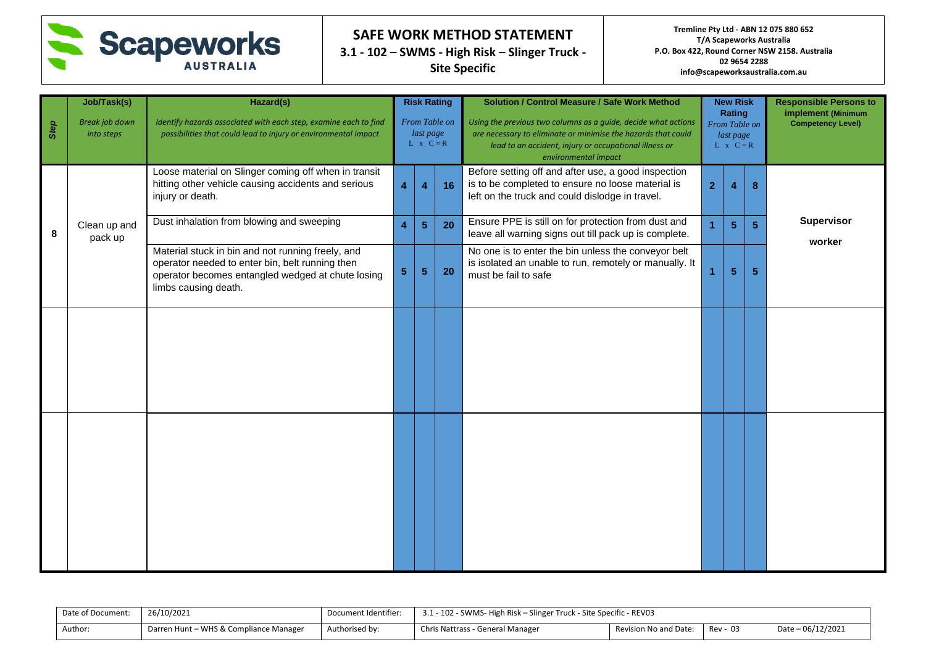

**Tremline Pty Ltd - ABN 12 075 880 652 T/A Scapeworks Australia P.O. Box 422, Round Corner NSW 2158. Australia 02 9654 2288 info@scapeworksaustralia.com.au**

| Step | Job/Task(s)<br><b>Break job down</b><br>into steps | Hazard(s)<br>Identify hazards associated with each step, examine each to find<br>possibilities that could lead to injury or environmental impact                                  | <b>Risk Rating</b><br>From Table on<br>last page<br>$L \times C = R$ |                |    | <b>Solution / Control Measure / Safe Work Method</b><br>Using the previous two columns as a guide, decide what actions<br>are necessary to eliminate or minimise the hazards that could<br>lead to an accident, injury or occupational illness or<br>environmental impact |                | <b>New Risk</b><br>Rating<br>From Table on<br>last page<br>$L \times C = R$ |                | <b>Responsible Persons to</b><br>implement (Minimum<br><b>Competency Level)</b> |
|------|----------------------------------------------------|-----------------------------------------------------------------------------------------------------------------------------------------------------------------------------------|----------------------------------------------------------------------|----------------|----|---------------------------------------------------------------------------------------------------------------------------------------------------------------------------------------------------------------------------------------------------------------------------|----------------|-----------------------------------------------------------------------------|----------------|---------------------------------------------------------------------------------|
|      |                                                    | Loose material on Slinger coming off when in transit<br>hitting other vehicle causing accidents and serious<br>injury or death.                                                   | 4                                                                    | 4              | 16 | Before setting off and after use, a good inspection<br>is to be completed to ensure no loose material is<br>left on the truck and could dislodge in travel.                                                                                                               | $\overline{2}$ | 4                                                                           | 8              |                                                                                 |
| 8    | Clean up and<br>pack up                            | Dust inhalation from blowing and sweeping                                                                                                                                         | 4                                                                    | 5 <sup>5</sup> | 20 | Ensure PPE is still on for protection from dust and<br>leave all warning signs out till pack up is complete.                                                                                                                                                              |                | $\overline{\mathbf{5}}$                                                     | $\overline{5}$ | Supervisor                                                                      |
|      |                                                    | Material stuck in bin and not running freely, and<br>operator needed to enter bin, belt running then<br>operator becomes entangled wedged at chute losing<br>limbs causing death. | $\overline{\mathbf{5}}$<br>20<br>$\overline{\mathbf{5}}$             |                |    | No one is to enter the bin unless the conveyor belt<br>is isolated an unable to run, remotely or manually. It<br>must be fail to safe                                                                                                                                     |                | $\overline{\mathbf{5}}$<br>$\sqrt{5}$                                       |                | worker                                                                          |
|      |                                                    |                                                                                                                                                                                   |                                                                      |                |    |                                                                                                                                                                                                                                                                           |                |                                                                             |                |                                                                                 |
|      |                                                    |                                                                                                                                                                                   |                                                                      |                |    |                                                                                                                                                                                                                                                                           |                |                                                                             |                |                                                                                 |

| Date of Document: | 26/10/2021                             | Document Identifier: | 3.1 - 102 - SWMS- High Risk – Slinger Truck - Site Specific - REV03 |                       |          |                    |  |
|-------------------|----------------------------------------|----------------------|---------------------------------------------------------------------|-----------------------|----------|--------------------|--|
| Author:           | Darren Hunt - WHS & Compliance Manager | Authorised by:       | Chris Nattrass - General Manager                                    | Revision No and Date: | Rev - 03 | Date $-06/12/2021$ |  |